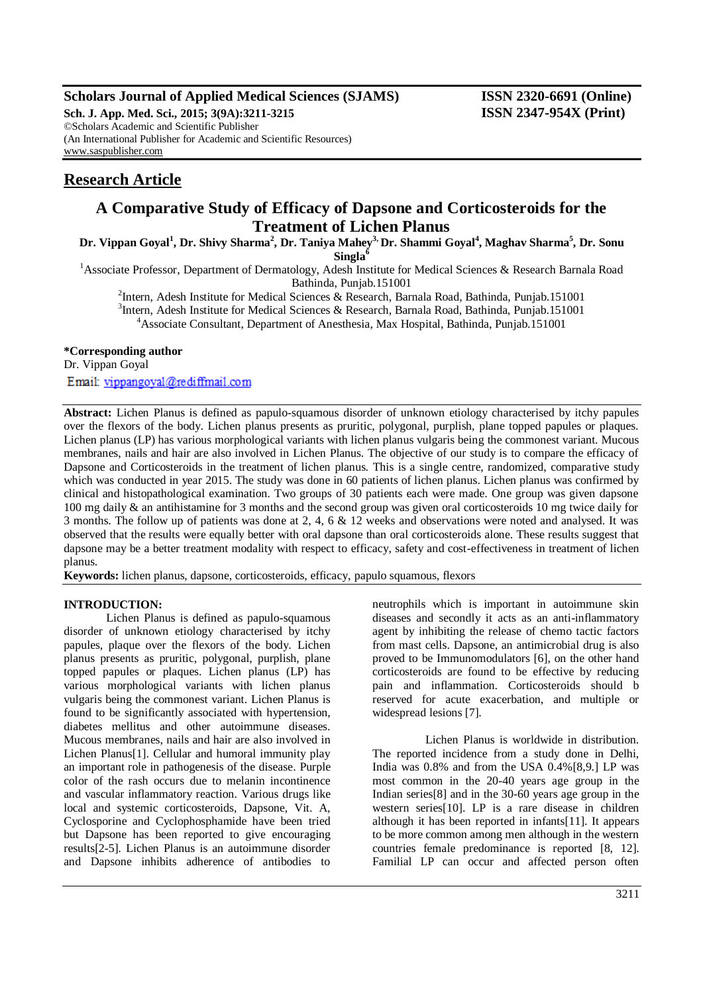## **Scholars Journal of Applied Medical Sciences (SJAMS) ISSN 2320-6691 (Online)**

**Sch. J. App. Med. Sci., 2015; 3(9A):3211-3215 ISSN 2347-954X (Print)** ©Scholars Academic and Scientific Publisher (An International Publisher for Academic and Scientific Resources) [www.saspublisher.com](http://www.saspublisher.com/)

# **Research Article**

## **A Comparative Study of Efficacy of Dapsone and Corticosteroids for the Treatment of Lichen Planus**

**Dr. Vippan Goyal<sup>1</sup> , Dr. Shivy Sharma<sup>2</sup> , Dr. Taniya Mahey3, Dr. Shammi Goyal<sup>4</sup> , Maghav Sharma<sup>5</sup> , Dr. Sonu Singla<sup>6</sup>**

<sup>1</sup> Associate Professor, Department of Dermatology, Adesh Institute for Medical Sciences & Research Barnala Road Bathinda, Punjab.151001

<sup>2</sup>Intern, Adesh Institute for Medical Sciences & Research, Barnala Road, Bathinda, Punjab.151001

<sup>3</sup>Intern, Adesh Institute for Medical Sciences & Research, Barnala Road, Bathinda, Punjab.151001

<sup>4</sup>Associate Consultant, Department of Anesthesia, Max Hospital, Bathinda, Punjab.151001

### **\*Corresponding author**

Dr. Vippan Goyal

Email: vippangoyal@rediffmail.com

**Abstract:** Lichen Planus is defined as papulo-squamous disorder of unknown etiology characterised by itchy papules over the flexors of the body. Lichen planus presents as pruritic, polygonal, purplish, plane topped papules or plaques. Lichen planus (LP) has various morphological variants with lichen planus vulgaris being the commonest variant. Mucous membranes, nails and hair are also involved in Lichen Planus. The objective of our study is to compare the efficacy of Dapsone and Corticosteroids in the treatment of lichen planus. This is a single centre, randomized, comparative study which was conducted in year 2015. The study was done in 60 patients of lichen planus. Lichen planus was confirmed by clinical and histopathological examination. Two groups of 30 patients each were made. One group was given dapsone 100 mg daily & an antihistamine for 3 months and the second group was given oral corticosteroids 10 mg twice daily for 3 months. The follow up of patients was done at 2, 4, 6 & 12 weeks and observations were noted and analysed. It was observed that the results were equally better with oral dapsone than oral corticosteroids alone. These results suggest that dapsone may be a better treatment modality with respect to efficacy, safety and cost-effectiveness in treatment of lichen planus.

**Keywords:** lichen planus, dapsone, corticosteroids, efficacy, papulo squamous, flexors

## **INTRODUCTION:**

Lichen Planus is defined as papulo-squamous disorder of unknown etiology characterised by itchy papules, plaque over the flexors of the body. Lichen planus presents as pruritic, polygonal, purplish, plane topped papules or plaques. Lichen planus (LP) has various morphological variants with lichen planus vulgaris being the commonest variant. Lichen Planus is found to be significantly associated with hypertension, diabetes mellitus and other autoimmune diseases. Mucous membranes, nails and hair are also involved in Lichen Planus[1]. Cellular and humoral immunity play an important role in pathogenesis of the disease. Purple color of the rash occurs due to melanin incontinence and vascular inflammatory reaction. Various drugs like local and systemic corticosteroids, Dapsone, Vit. A, Cyclosporine and Cyclophosphamide have been tried but Dapsone has been reported to give encouraging results[2-5]. Lichen Planus is an autoimmune disorder and Dapsone inhibits adherence of antibodies to

neutrophils which is important in autoimmune skin diseases and secondly it acts as an anti-inflammatory agent by inhibiting the release of chemo tactic factors from mast cells. Dapsone, an antimicrobial drug is also proved to be Immunomodulators [6], on the other hand corticosteroids are found to be effective by reducing pain and inflammation. Corticosteroids should b reserved for acute exacerbation, and multiple or widespread lesions [7].

 Lichen Planus is worldwide in distribution. The reported incidence from a study done in Delhi, India was 0.8% and from the USA 0.4%[8,9.] LP was most common in the 20-40 years age group in the Indian series[8] and in the 30-60 years age group in the western series[10]. LP is a rare disease in children although it has been reported in infants[11]. It appears to be more common among men although in the western countries female predominance is reported [8, 12]. Familial LP can occur and affected person often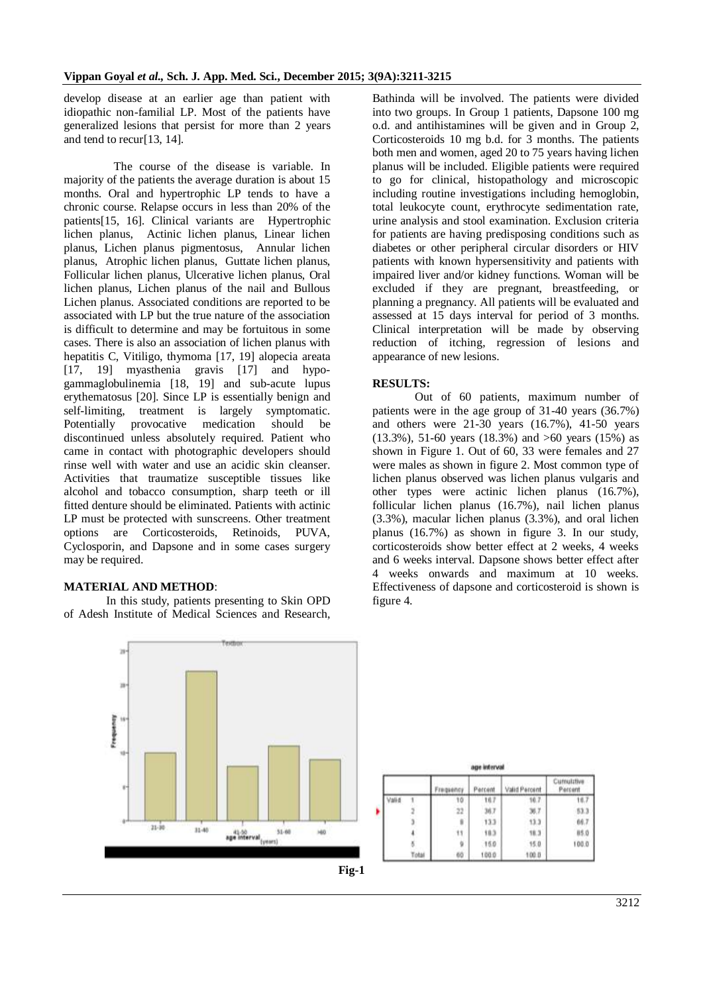develop disease at an earlier age than patient with idiopathic non-familial LP. Most of the patients have generalized lesions that persist for more than 2 years and tend to recur[13, 14].

 The course of the disease is variable. In majority of the patients the average duration is about 15 months. Oral and hypertrophic LP tends to have a chronic course. Relapse occurs in less than 20% of the patients[15, 16]. Clinical variants are Hypertrophic lichen planus, Actinic lichen planus, Linear lichen planus, Lichen planus pigmentosus, Annular lichen planus, Atrophic lichen planus, Guttate lichen planus, Follicular lichen planus, Ulcerative lichen planus, Oral lichen planus, Lichen planus of the nail and Bullous Lichen planus. Associated conditions are reported to be associated with LP but the true nature of the association is difficult to determine and may be fortuitous in some cases. There is also an association of lichen planus with hepatitis C, Vitiligo, thymoma [17, 19] alopecia areata [17, 19] myasthenia gravis [17] and hypogammaglobulinemia [18, 19] and sub-acute lupus erythematosus [20]. Since LP is essentially benign and self-limiting, treatment is largely symptomatic.<br>Potentially provocative medication should be Potentially provocative medication should be discontinued unless absolutely required. Patient who came in contact with photographic developers should rinse well with water and use an acidic skin cleanser. Activities that traumatize susceptible tissues like alcohol and tobacco consumption, sharp teeth or ill fitted denture should be eliminated. Patients with actinic LP must be protected with sunscreens. Other treatment options are Corticosteroids, Retinoids, PUVA, Cyclosporin, and Dapsone and in some cases surgery may be required.

## **MATERIAL AND METHOD**:

In this study, patients presenting to Skin OPD of Adesh Institute of Medical Sciences and Research,

Bathinda will be involved. The patients were divided into two groups. In Group 1 patients, Dapsone 100 mg o.d. and antihistamines will be given and in Group 2, Corticosteroids 10 mg b.d. for 3 months. The patients both men and women, aged 20 to 75 years having lichen planus will be included. Eligible patients were required to go for clinical, histopathology and microscopic including routine investigations including hemoglobin, total leukocyte count, erythrocyte sedimentation rate, urine analysis and stool examination. Exclusion criteria for patients are having predisposing conditions such as diabetes or other peripheral circular disorders or HIV patients with known hypersensitivity and patients with impaired liver and/or kidney functions. Woman will be excluded if they are pregnant, breastfeeding, or planning a pregnancy. All patients will be evaluated and assessed at 15 days interval for period of 3 months. Clinical interpretation will be made by observing reduction of itching, regression of lesions and appearance of new lesions.

#### **RESULTS:**

Out of 60 patients, maximum number of patients were in the age group of 31-40 years (36.7%) and others were 21-30 years (16.7%), 41-50 years  $(13.3\%)$ , 51-60 years  $(18.3\%)$  and  $>60$  years  $(15\%)$  as shown in Figure 1. Out of 60, 33 were females and 27 were males as shown in figure 2. Most common type of lichen planus observed was lichen planus vulgaris and other types were actinic lichen planus (16.7%), follicular lichen planus (16.7%), nail lichen planus (3.3%), macular lichen planus (3.3%), and oral lichen planus (16.7%) as shown in figure 3. In our study, corticosteroids show better effect at 2 weeks, 4 weeks and 6 weeks interval. Dapsone shows better effect after 4 weeks onwards and maximum at 10 weeks. Effectiveness of dapsone and corticosteroid is shown is figure 4.



|              |    | age interval |               |                |
|--------------|----|--------------|---------------|----------------|
|              |    |              | Valid Percent | <b>Parcent</b> |
| <b>Jalie</b> | 10 | 16.7         | 10.7          | til.           |
|              | 22 | 36.7         | XI.7          | 53.            |
|              |    | 133          | 13.3          | 66.7           |
|              | 11 | 18.3         | 18.3          | 85.0           |
|              |    | 15.0         | 15.0          | 100.0          |
|              | 65 | 100.0        | 100.0         |                |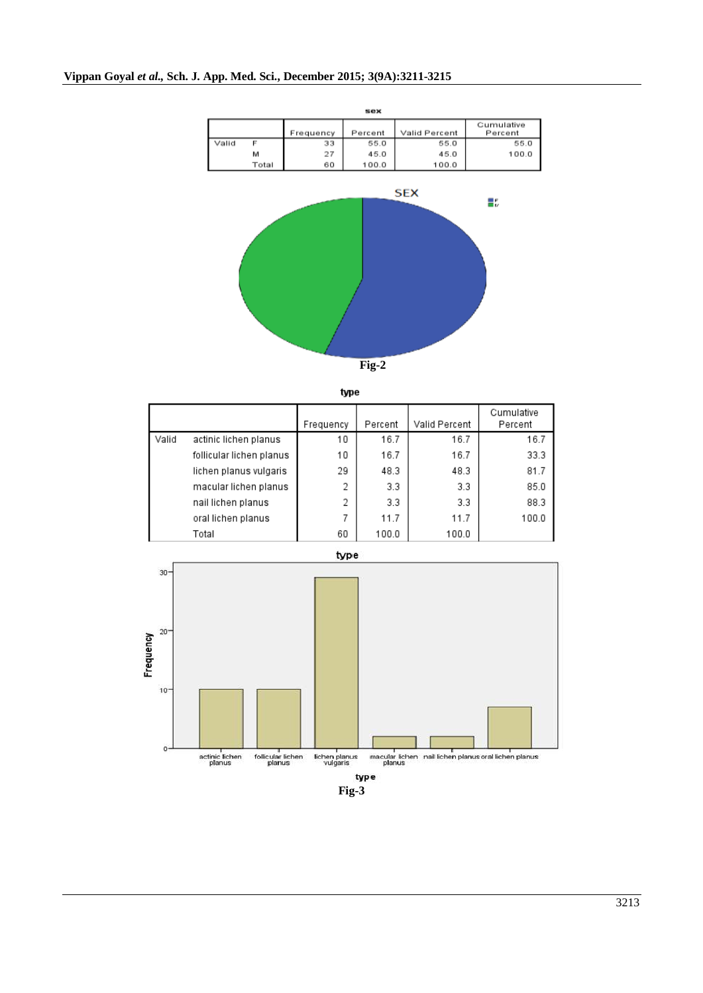

|       |                          | Frequency | Percent | Valid Percent | Cumulative<br>Percent |
|-------|--------------------------|-----------|---------|---------------|-----------------------|
| Valid | actinic lichen planus    | 10        | 16.7    | 16.7          | 16.7                  |
|       | follicular lichen planus | 10        | 16.7    | 16.7          | 33.3                  |
|       | lichen planus vulgaris   | 29        | 48.3    | 48.3          | 81.7                  |
|       | macular lichen planus    | 2         | 3.3     | 3.3           | 85.0                  |
|       | nail lichen planus       | 2         | 3.3     | 3.3           | 88.3                  |
|       | oral lichen planus       | 7         | 11.7    | 11.7          | 100.0                 |
|       | Total                    | 60        | 100.0   | 100.0         |                       |



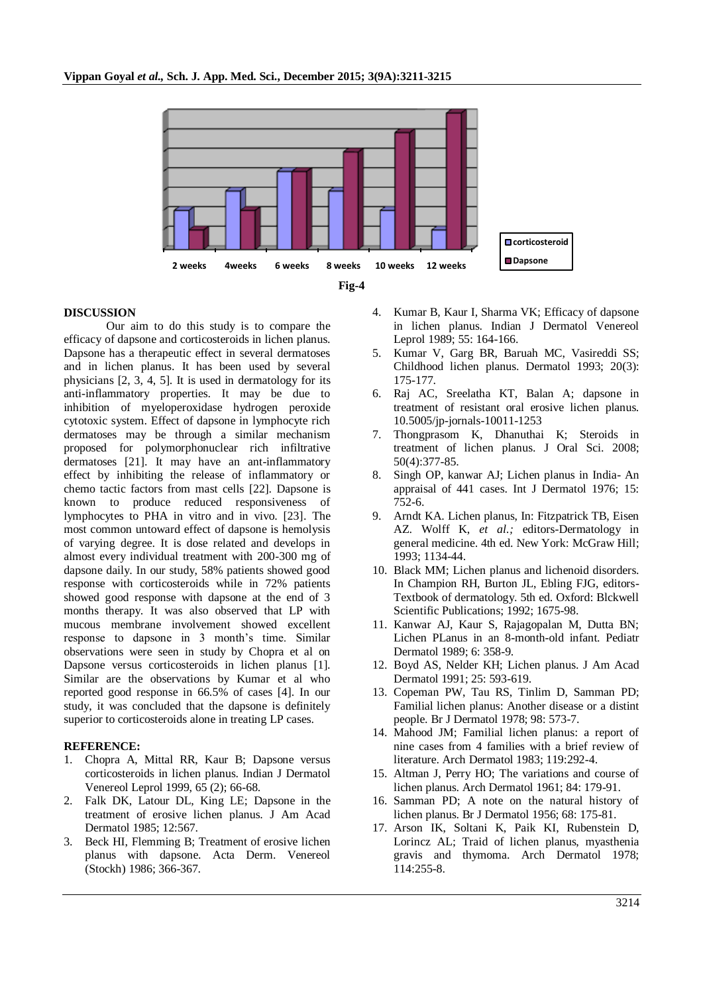

### **DISCUSSION**

Our aim to do this study is to compare the efficacy of dapsone and corticosteroids in lichen planus. Dapsone has a therapeutic effect in several dermatoses and in lichen planus. It has been used by several physicians [2, 3, 4, 5]. It is used in dermatology for its anti-inflammatory properties. It may be due to inhibition of myeloperoxidase hydrogen peroxide cytotoxic system. Effect of dapsone in lymphocyte rich dermatoses may be through a similar mechanism proposed for polymorphonuclear rich infiltrative dermatoses [21]. It may have an ant-inflammatory effect by inhibiting the release of inflammatory or chemo tactic factors from mast cells [22]. Dapsone is known to produce reduced responsiveness of lymphocytes to PHA in vitro and in vivo. [23]. The most common untoward effect of dapsone is hemolysis of varying degree. It is dose related and develops in almost every individual treatment with 200-300 mg of dapsone daily. In our study, 58% patients showed good response with corticosteroids while in 72% patients showed good response with dapsone at the end of 3 months therapy. It was also observed that LP with mucous membrane involvement showed excellent response to dapsone in 3 month's time. Similar observations were seen in study by Chopra et al on Dapsone versus corticosteroids in lichen planus [1]. Similar are the observations by Kumar et al who reported good response in 66.5% of cases [4]. In our study, it was concluded that the dapsone is definitely superior to corticosteroids alone in treating LP cases.

#### **REFERENCE:**

- 1. Chopra A, Mittal RR, Kaur B; Dapsone versus corticosteroids in lichen planus. Indian J Dermatol Venereol Leprol 1999, 65 (2); 66-68.
- 2. Falk DK, Latour DL, King LE; Dapsone in the treatment of erosive lichen planus. J Am Acad Dermatol 1985; 12:567.
- 3. Beck HI, Flemming B; Treatment of erosive lichen planus with dapsone. Acta Derm. Venereol (Stockh) 1986; 366-367.
- 4. Kumar B, Kaur I, Sharma VK; Efficacy of dapsone in lichen planus. Indian J Dermatol Venereol Leprol 1989; 55: 164-166.
- 5. Kumar V, Garg BR, Baruah MC, Vasireddi SS; Childhood lichen planus. Dermatol 1993; 20(3): 175-177.
- 6. Raj AC, Sreelatha KT, Balan A; dapsone in treatment of resistant oral erosive lichen planus. 10.5005/jp-jornals-10011-1253
- 7. Thongprasom K, Dhanuthai K; Steroids in treatment of lichen planus. J Oral Sci. 2008; 50(4):377-85.
- 8. Singh OP, kanwar AJ; Lichen planus in India- An appraisal of 441 cases. Int J Dermatol 1976; 15: 752-6.
- 9. Arndt KA. Lichen planus, In: Fitzpatrick TB, Eisen AZ. Wolff K, *et al.;* editors-Dermatology in general medicine. 4th ed. New York: McGraw Hill; 1993; 1134-44.
- 10. Black MM; Lichen planus and lichenoid disorders. In Champion RH, Burton JL, Ebling FJG, editors-Textbook of dermatology. 5th ed. Oxford: Blckwell Scientific Publications; 1992; 1675-98.
- 11. Kanwar AJ, Kaur S, Rajagopalan M, Dutta BN; Lichen PLanus in an 8-month-old infant. Pediatr Dermatol 1989; 6: 358-9.
- 12. Boyd AS, Nelder KH; Lichen planus. J Am Acad Dermatol 1991; 25: 593-619.
- 13. Copeman PW, Tau RS, Tinlim D, Samman PD; Familial lichen planus: Another disease or a distint people. Br J Dermatol 1978; 98: 573-7.
- 14. Mahood JM; Familial lichen planus: a report of nine cases from 4 families with a brief review of literature. Arch Dermatol 1983; 119:292-4.
- 15. Altman J, Perry HO; The variations and course of lichen planus. Arch Dermatol 1961; 84: 179-91.
- 16. Samman PD; A note on the natural history of lichen planus. Br J Dermatol 1956; 68: 175-81.
- 17. Arson IK, Soltani K, Paik KI, Rubenstein D, Lorincz AL; Traid of lichen planus, myasthenia gravis and thymoma. Arch Dermatol 1978; 114:255-8.